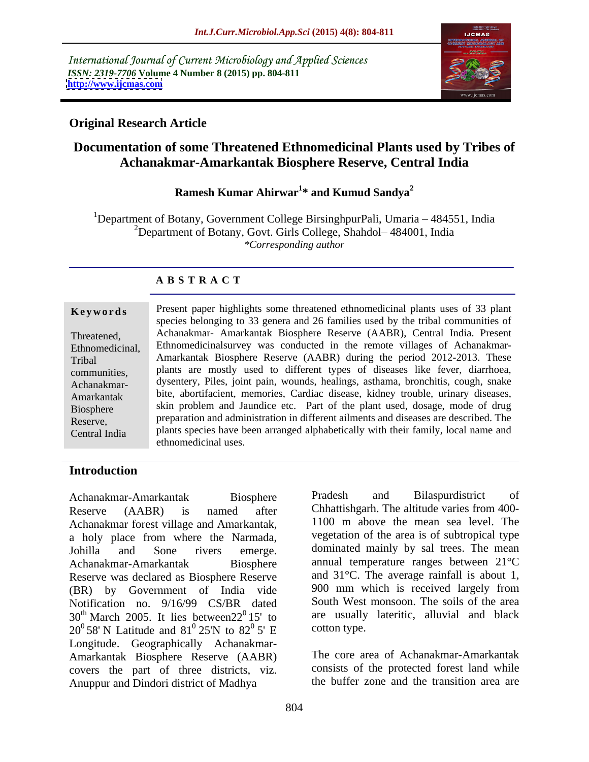International Journal of Current Microbiology and Applied Sciences *ISSN: 2319-7706* **Volume 4 Number 8 (2015) pp. 804-811 <http://www.ijcmas.com>**



## **Original Research Article**

# **Documentation of some Threatened Ethnomedicinal Plants used by Tribes of Achanakmar-Amarkantak Biosphere Reserve, Central India**

### **Ramesh Kumar Ahirwar<sup>1</sup> \* and Kumud Sandya<sup>2</sup>**

<sup>1</sup>Department of Botany, Government College BirsinghpurPali, Umaria  $-484551$ , India <sup>2</sup>Department of Botany, Govt. Girls College, Shahdol-484001, India *\*Corresponding author*

### **A B S T R A C T**

Central India

**Keywords** Present paper highlights some threatened ethnomedicinal plants uses of 33 plant species belonging to 33 genera and 26 families used by the tribal communities of Achanakmar- Amarkantak Biosphere Reserve (AABR), Central India. Present Threatened, Ethnomedicinal, Ethnomedicinalsurvey was conducted in the remote villages of Achanakmar-Amarkantak Biosphere Reserve (AABR) during the period 2012-2013. These Tribal communities, plants are mostly used to different types of diseases like fever, diarrhoea, dysentery, Piles, joint pain, wounds, healings, asthama, bronchitis, cough, snake Achanakmar- Amarkantak bite, abortifacient, memories, Cardiac disease, kidney trouble, urinary diseases, Biosphere skin problem and Jaundice etc. Part of the plant used, dosage, mode of drug preparation and administration in different ailments and diseases are described. The Reserve, plants species have been arranged alphabetically with their family, local name and ethnomedicinal uses.

### **Introduction**

Achanakmar-Amarkantak Biosphere Pradesh and Bilaspurdistrict of Reserve (AABR) is named after Chhattishgarh. The altitude varies from 400- Achanakmar forest village and Amarkantak, a holy place from where the Narmada, Johilla and Sone rivers emerge. dominated mainly by sal-trees. The mean Achanakmar-Amarkantak Biosphere annual temperature ranges between 21°C Reserve was declared as Biosphere Reserve and  $31^{\circ}$ C. The average rainfall is about 1,  $(RR)$  by Government of India vide 900 mm which is received largely from (BR) by Government of India vide Notification no. 9/16/99 CS/BR dated  $30<sup>th</sup>$  March 2005. It lies between $22<sup>0</sup>$  15' to  $20^0$  58' N Latitude and  $81^0$  25'N to  $82^0$  5' E cotton type. Longitude. Geographically Achanakmar- Amarkantak Biosphere Reserve (AABR) covers the part of three districts, viz. Anuppur and Dindori district of Madhya

 $^{0}$ 15' to are usually lateritic, alluvial and black  $\frac{0}{25}$   $25\frac{\pi}{6}$   $\approx$   $\frac{0}{25}$   $\frac{\pi}{6}$  cotton type 25'N to  $82^{\circ}$  5' E cotton type.  $\frac{0}{5}$   $\sigma$   $\Gamma$  cotton type 5' E cotton type. Pradesh and Bilaspurdistrict of 1100 m above the mean sea level. The vegetation of the area is of subtropical type and 31°C. The average rainfall is about 1, 900 mm which is received largely from South West monsoon. The soils of the area cotton type.

The core area of Achanakmar-Amarkantak consists of the protected forest land while the buffer zone and the transition area are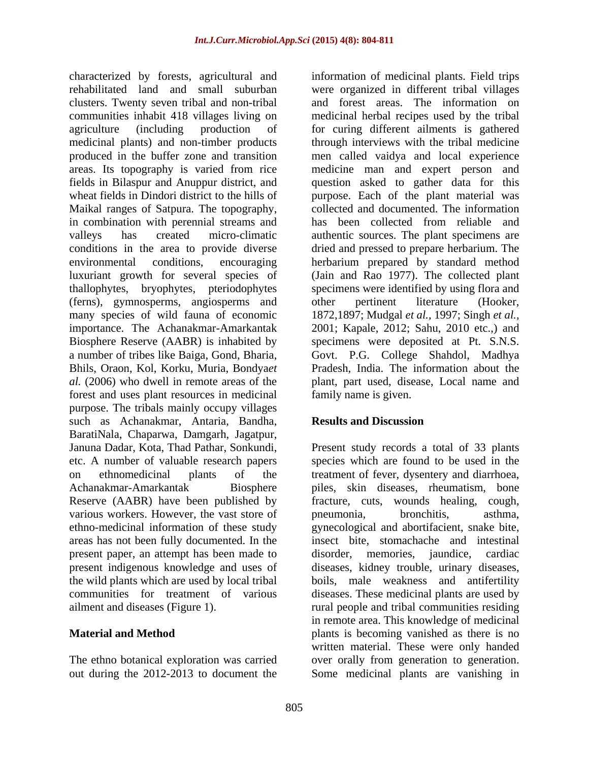characterized by forests, agricultural and information of medicinal plants. Field trips rehabilitated land and small suburban were organized in different tribal villages clusters. Twenty seven tribal and non-tribal communities inhabit 418 villages living on medicinal herbal recipes used by the tribal agriculture (including production of for curing different ailments is gathered medicinal plants) and non-timber products through interviews with the tribal medicine produced in the buffer zone and transition men called vaidya and local experience areas. Its topography is varied from rice medicine man and expert person and fields in Bilaspur and Anuppur district, and question asked to gather data for this wheat fields in Dindori district to the hills of purpose. Each of the plant material was Maikal ranges of Satpura. The topography, in combination with perennial streams and last been collected from reliable and valleys has created micro-climatic authentic sources. The plant specimens are conditions in the area to provide diverse dried and pressed to prepare herbarium. The environmental conditions, encouraging herbarium prepared by standard method luxuriant growth for several species of (Jain and Rao 1977). The collected plant thallophytes, bryophytes, pteriodophytes specimens were identified by using flora and (ferns), gymnosperms, angiosperms and many species of wild fauna of economic 1872,1897; Mudgal *et al.,* 1997; Singh *et al.,* importance. The Achanakmar-Amarkantak 2001; Kapale, 2012; Sahu, 2010 etc.,) and Biosphere Reserve (AABR) is inhabited by specimens were deposited at Pt. S.N.S. a number of tribes like Baiga, Gond, Bharia, Govt. P.G. College Shahdol, Madhya Bhils, Oraon, Kol, Korku, Muria, Bondya*et al.* (2006) who dwell in remote areas of the plant, part used, disease, Local name and forest and uses plant resources in medicinal purpose. The tribals mainly occupy villages such as Achanakmar, Antaria, Bandha, **Results and Discussion** BaratiNala, Chaparwa, Damgarh, Jagatpur, Januna Dadar, Kota, Thad Pathar, Sonkundi, Present study records a total of 33 plants etc. A number of valuable research papers species which are found to be used in the on ethnomedicinal plants of the treatment of fever, dysentery and diarrhoea, Achanakmar-Amarkantak Biosphere piles, skin diseases, rheumatism, bone Reserve (AABR) have been published by fracture, cuts, wounds healing, cough, various workers. However, the vast store of pronounced bronchitis, asthma, ethno-medicinal information of these study gynecological and abortifacient, snake bite, areas has not been fully documented. In the insect bite, stomachache and intestinal present paper, an attempt has been made to disorder, memories, jaundice, cardiac present indigenous knowledge and uses of diseases, kidney trouble, urinary diseases, the wild plants which are used by local tribal boils, male weakness and antifertility communities for treatment of various diseases. These medicinal plants are used by

out during the 2012-2013 to document the Some medicinal plants are vanishing in

and forest areas. The information on collected and documented. The information has been collected from reliable and other pertinent literature (Hooker, Pradesh, India. The information about the family name is given.

### **Results and Discussion**

ailment and diseases (Figure 1). The rural people and tribal communities residing **Material and Method plants** is becoming vanished as there is no The ethno botanical exploration was carried over orally from generation to generation. pneumonia, bronchitis, asthma, disorder, memories, jaundice, cardiac in remote area. This knowledge of medicinal written material. These were only handed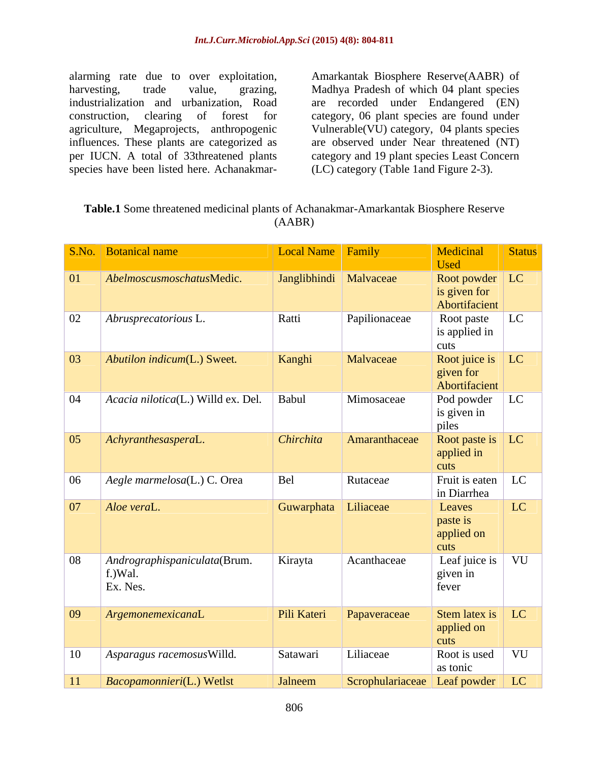alarming rate due to over exploitation, Amarkantak Biosphere Reserve(AABR) of harvesting, trade value, grazing, Madhya Pradesh of which 04 plant species industrialization and urbanization, Road are recorded under Endangered (EN) construction, clearing of forest for category, 06 plant species are found under agriculture, Megaprojects, anthropogenic Vulnerable(VU) category, 04 plants species influences. These plants are categorized as are observed under Near threatened (NT) per IUCN. A total of 33threatened plants category and 19 plant species Least Concern alarming rate due to over exploitation, Amarkantak Biosphere Reserve(AABR) of<br>harvesting, trade value, grazing, Madhya Pradesh of which 04 plant species<br>industrialization and urbanization, Road are recorded under Endangere

(LC) category (Table 1and Figure 2-3).

| Table.1 Some threatened medicinal plants of Achanakmar-Amarkantak Biosphere Reserve |  |
|-------------------------------------------------------------------------------------|--|
| AABR                                                                                |  |

|              | S.No. Botanical name                                | Local Name   Family      |                                 | Medicinal<br><b>Used</b>                               | Status    |
|--------------|-----------------------------------------------------|--------------------------|---------------------------------|--------------------------------------------------------|-----------|
| 01           | AbelmoscusmoschatusMedic.                           | Janglibhindi   Malvaceae |                                 | Root powder $\vert$ LC<br>is given for                 |           |
|              |                                                     |                          |                                 | Abortifacient                                          |           |
| 02           | $\vert$ Abrusprecatorious L.                        | Ratti                    | Papilionaceae                   | Root paste<br>is applied in<br>cuts                    | LC        |
| $\boxed{03}$ | Abutilon indicum(L.) Sweet.                         | Kanghi                   | Malvaceae                       | Root juice is $\vert$ LC<br>given for<br>Abortifacient |           |
| 04           | $\vert$ <i>Acacia nilotica</i> (L.) Willd ex. Del.  | Babul                    | Mimosaceae                      | Pod powder<br>is given in<br>piles                     | LC        |
| $\boxed{05}$ | $\Delta$ <i>chyranthesasperaL.</i>                  | Chirchita                | Amaranthaceae                   | Root paste is   LC<br>applied in<br>cuts               |           |
| 06           | $\vert$ Aegle marmelosa(L.) C. Orea                 | Bel                      | Rutaceae                        | Fruit is eaten $\vert$ LC<br>in Diarrhea               |           |
| $\boxed{07}$ | Aloe veraL.                                         | Guwarphata Liliaceae     |                                 | Leaves<br>paste is<br>applied on<br>cuts               | LC        |
| 08           | Andrographispaniculata(Brum.<br>f.)Wal.<br>Ex. Nes. | Kirayta                  | Acanthaceae                     | Leaf juice is $\vert$ VU<br>given in<br>fever          |           |
| $ 09\rangle$ | ArgemonemexicanaL                                   | Pili Kateri              | Papaveraceae                    | Stem latex is   LC<br>applied on<br>cuts               |           |
| 10           | Asparagus racemosus Willd.                          | Satawari                 | Liliaceae                       | Root is used<br>as tonic                               | $\mid$ VU |
| 11           | Bacopamonnieri(L.) Wetlst                           | Jalneem                  | Scrophulariaceae Leaf powder LC |                                                        |           |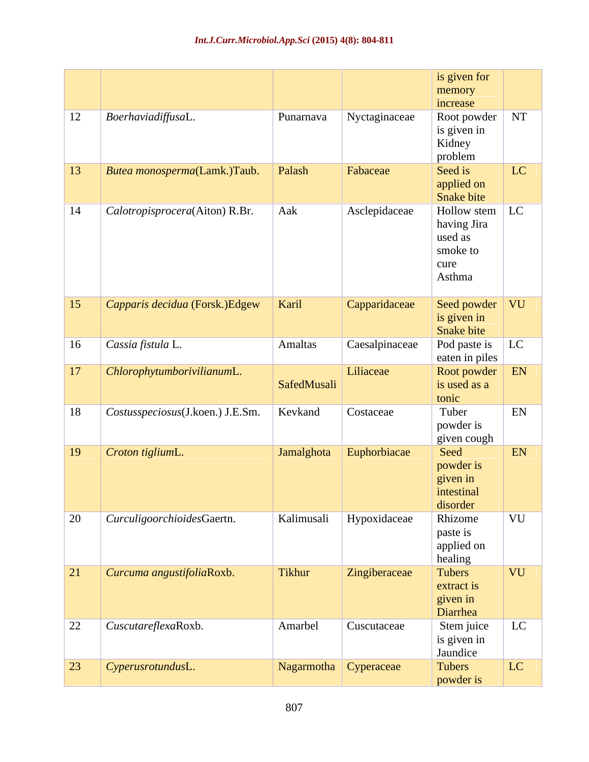|                  |                                    |                       |                | is given for                 |                    |
|------------------|------------------------------------|-----------------------|----------------|------------------------------|--------------------|
|                  |                                    |                       |                | memory                       |                    |
| 12               | $\vert$ BoerhaviadiffusaL.         | Punarnava             | Nyctaginaceae  | increase<br>Root powder   NT |                    |
|                  |                                    |                       |                | is given in                  |                    |
|                  |                                    |                       |                | Kidney                       |                    |
|                  |                                    |                       |                | problem                      |                    |
| 13               | Butea monosperma(Lamk.)Taub.       | Palash                | Fabaceae       | Seed is<br>applied on        | LC                 |
|                  |                                    |                       |                | Snake bite                   |                    |
| 14               | Calotropisprocera(Aiton) R.Br.     | Aak                   | Asclepidaceae  | Hollow stem $\vert$ LC       |                    |
|                  |                                    |                       |                | having Jira                  |                    |
|                  |                                    |                       |                | used as<br>smoke to          |                    |
|                  |                                    |                       |                | cure                         |                    |
|                  |                                    |                       |                | Asthma                       |                    |
|                  |                                    |                       |                |                              |                    |
| $\vert 15 \vert$ | Capparis decidua (Forsk.)Edgew     | $\vert$ Karil         | Capparidaceae  | Seed powder VU               |                    |
|                  |                                    |                       |                | is given in<br>Snake bite    |                    |
| 16               | $\vert$ Cassia fistula L.          | <b>Amaltas</b>        | Caesalpinaceae | Pod paste is $\boxed{LC}$    |                    |
|                  |                                    |                       |                | eaten in piles               |                    |
| 17               | ChlorophytumborivilianumL.         |                       | Liliaceae      | Root powder EN               |                    |
|                  |                                    | SafedMusali           |                | is used as a<br>tonic        |                    |
| 18               | Costusspeciosus(J.koen.) J.E.Sm.   | Kevkand               | Costaceae      | Tuber                        | EN                 |
|                  |                                    |                       |                | powder is                    |                    |
|                  |                                    |                       |                | given cough                  |                    |
| $\boxed{19}$     | Croton tigliumL.                   | Jamalghota            | Euphorbiacae   | Seed                         | EN                 |
|                  |                                    |                       |                | powder is<br>given in        |                    |
|                  |                                    |                       |                | intestinal                   |                    |
|                  |                                    |                       |                | disorder                     |                    |
| 20               | CurculigoorchioidesGaertn.         | Kalimusali            | Hypoxidaceae   | Rhizome                      | $\sqrt{\text{VU}}$ |
|                  |                                    |                       |                | paste is                     |                    |
|                  |                                    |                       |                | applied on<br>healing        |                    |
| $\boxed{21}$     | Curcuma angustifoliaRoxb.          | Tikhur                | Zingiberaceae  | Tubers                       | VU                 |
|                  |                                    |                       |                | extract is                   |                    |
|                  |                                    |                       |                | given in                     |                    |
|                  |                                    |                       |                | Diarrhea                     | LC                 |
| 22               | $\vert$ <i>CuscutareflexaRoxb.</i> | Amarbel               | Cuscutaceae    | Stem juice<br>is given in    |                    |
|                  |                                    |                       |                | Jaundice                     |                    |
| $\boxed{23}$     | $\big $ CyperusrotundusL.          | Nagarmotha Cyperaceae |                | Tubers                       | LC                 |
|                  |                                    |                       |                | powder is                    |                    |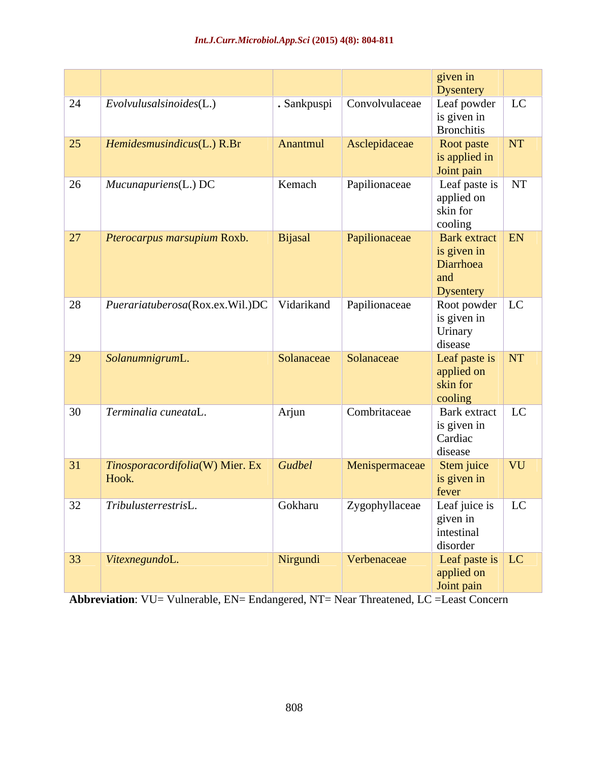|              |                                        |               |                | given in                  |            |
|--------------|----------------------------------------|---------------|----------------|---------------------------|------------|
|              |                                        |               |                | Dysentery                 |            |
| 24           | $\vert$ Evolvulusalsinoides(L.)        | Sankpuspi     | Convolvulaceae | Leaf powder $\vert$       | LC         |
|              |                                        |               |                | is given in               |            |
|              |                                        |               |                | <b>Bronchitis</b>         |            |
| 25           | Hemidesmusindicus(L.) R.Br             | Anantmul      | Asclepidaceae  | Root paste                | $\vert$ NT |
|              |                                        |               |                | is applied in             |            |
|              |                                        |               |                | Joint pain                |            |
| 26           | $\vert$ Mucunapuriens(L.) DC           | Kemach        | Papilionaceae  | Leaf paste is $\sqrt{NT}$ |            |
|              |                                        |               |                | applied on                |            |
|              |                                        |               |                | skin for                  |            |
|              |                                        |               |                | cooling                   |            |
| 27           | Pterocarpus marsupium Roxb.            | Bijasal       | Papilionaceae  | Bark extract   EN         |            |
|              |                                        |               |                | is given in               |            |
|              |                                        |               |                | Diarrhoea                 |            |
|              |                                        |               |                | and                       |            |
|              |                                        |               |                | Dysentery                 |            |
| 28           | Puerari atuberosa(Rox.ex.Wil.)DC       | Vidarikand    | Papilionaceae  | Root powder $\vert$ LC    |            |
|              |                                        |               |                | is given in               |            |
|              |                                        |               |                | Urinary<br>disease        |            |
| $\boxed{29}$ | SolanumnigrumL.                        | Solanaceae    | Solanaceae     | Leaf paste is NT          |            |
|              |                                        |               |                | applied on                |            |
|              |                                        |               |                | skin for                  |            |
|              |                                        |               |                | $\vert$ cooling           |            |
| 30           | Terminalia cuneataL                    | $\vert$ Arjun | Combritaceae   | Bark extract              | LC         |
|              |                                        |               |                | is given in               |            |
|              |                                        |               |                | Cardiac                   |            |
|              |                                        |               |                | disease                   |            |
| 31           | Tinosporacordifolia(W) Mier. Ex Gudbel |               | Menispermaceae | Stem juice                | <b>VU</b>  |
|              | Hook.                                  |               |                | is given in               |            |
|              |                                        |               |                | fever                     |            |
| 32           | $\vert$ TribulusterrestrisL.           | Gokharu       | Zygophyllaceae | Leaf juice is LC          |            |
|              |                                        |               |                | given in                  |            |
|              |                                        |               |                | intestinal                |            |
|              |                                        |               |                | disorder                  |            |
| 33           | VitexnegundoL.                         | Nirgundi      | Verbenaceae    | Leaf paste is $\vert$ LC  |            |
|              |                                        |               |                |                           |            |
|              |                                        |               |                | applied on<br>Joint pain  |            |

**Abbreviation**: VU= Vulnerable, EN= Endangered, NT= Near Threatened, LC =Least Concern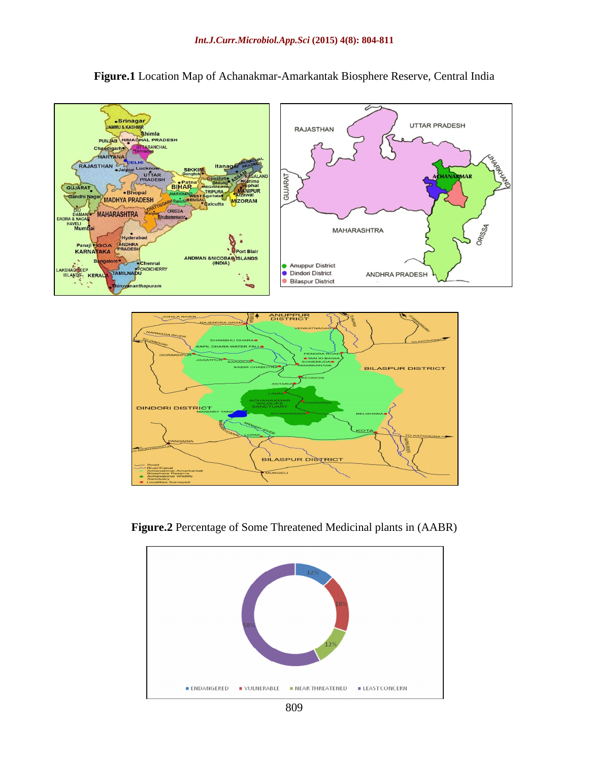

**Figure.1** Location Map of Achanakmar-Amarkantak Biosphere Reserve, Central India



**Figure.2** Percentage of Some Threatened Medicinal plants in (AABR)

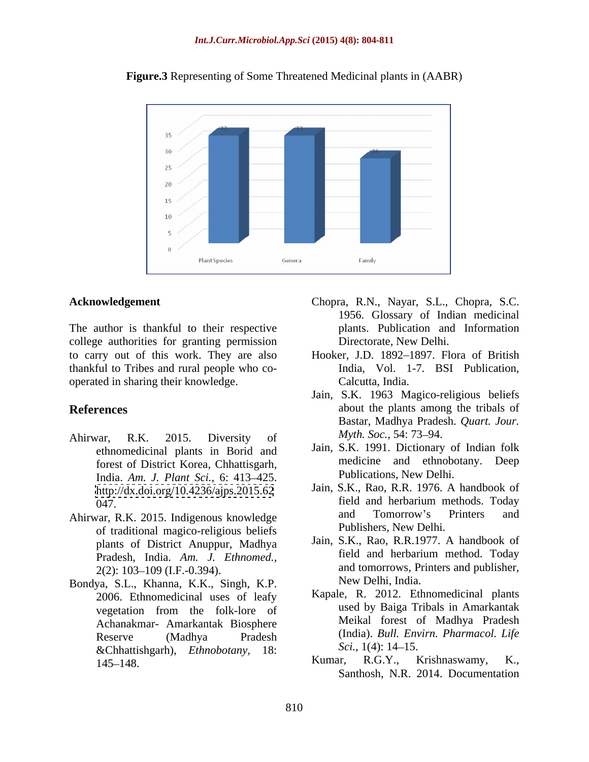

**Figure.3** Representing of Some Threatened Medicinal plants in (AABR)

The author is thankful to their respective college authorities for granting permission thankful to Tribes and rural people who co operated in sharing their knowledge.

- Ahirwar, R.K. 2015. Diversity of  $Myth. Soc., 54: 73-94.$ ethnomedicinal plants in Borid and forest of District Korea, Chhattisgarh, India. *Am. J. Plant Sci.*, 6: 413 425. <http://dx.doi.org/10.4236/ajps.2015.62>
- Ahirwar, R.K. 2015. Indigenous knowledge of traditional magico-religious beliefs Pradesh, India. *Am. J. Ethnomed.,*
- Bondya, S.L., Khanna, K.K., Singh, K.P.<br>2006. Ethnomedicinal uses of leafy Kapale, R. 2012. Ethnomedicinal plants Achanakmar- Amarkantak Biosphere *Sci.*, 1(4): 14–15.<br>
145–148 *Ethnobotany*, 18: *Sci.*, 1(4): 14–15.<br> **Kumar, R.G.Y., Krishnaswamy, K.,**
- **Acknowledgement** Chopra, R.N., Nayar, S.L., Chopra, S.C. Chopra, R.N., Nayar, S.L., Chopra, S.C. 1956. Glossary of Indian medicinal plants. Publication and Information Directorate, New Delhi.
- to carry out of this work. They are also Hooker, J.D. 1892–1897. Flora of British India, Vol. 1-7. BSI Publication, Calcutta, India.
- **References** about the plants among the tribals of Jain, S.K. 1963 Magico-religious beliefs Bastar, Madhya Pradesh. *Quart. Jour. Myth. Soc.,* 54: 73–94.
	- Jain, S.K. 1991. Dictionary of Indian folk medicine and ethnobotany. Deep Publications, New Delhi.
	- $\begin{array}{ccc}\n 047. & \text{field and herbarium methods. Today} \\
	 \text{over P K} & 2015 \text{ Idigenous knowledge} \\
	 \end{array}$ Jain, S.K., Rao, R.R. 1976. A handbook of field and herbarium methods. Today and Tomorrow's Printers and Publishers, New Delhi.
	- plants of District Anuppur, Madhya Jain, S.K., Rao, R.R.1977. A handbook of Pradesh India Am *I* Ethnomed field and herbarium method. Today  $2(2)$ :  $103-109$  (I.F.-0.394). and tomorrows, Printers and publisher, Jain, S.K., Rao, R.R.1977. A handbook of field and herbarium method. Today New Delhi, India.
	- vegetation from the folk-lore of used by Baiga Tribals in Amarkantak Reserve (Madhya Pradesh (India). *Bull. Envirn. Pharmacol. Life* Kapale, R. 2012. Ethnomedicinal plants used by Baiga Tribals in Amarkantak Meikal forest of Madhya Pradesh (India). *Bull. Envirn. Pharmacol. Life Sci.*, 1(4): 14–15.
	- 145–148. **Kumar, K.G.Y., Krishnaswamy, K.,** Kumar, R.G.Y., Krishnaswamy, K., Santhosh, N.R. 2014. Documentation